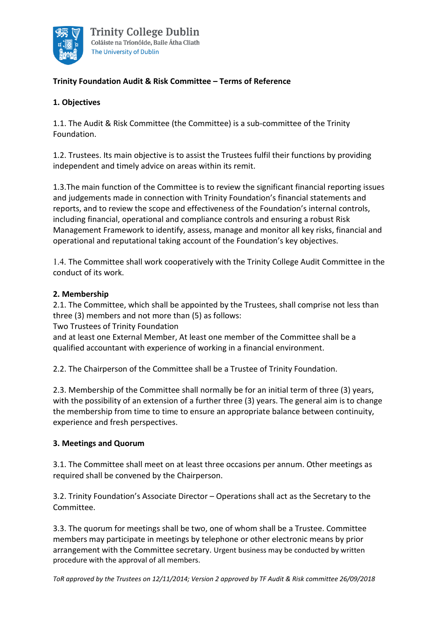

# **Trinity Foundation Audit & Risk Committee – Terms of Reference**

### **1. Objectives**

1.1. The Audit & Risk Committee (the Committee) is a sub-committee of the Trinity Foundation.

1.2. Trustees. Its main objective is to assist the Trustees fulfil their functions by providing independent and timely advice on areas within its remit.

1.3.The main function of the Committee is to review the significant financial reporting issues and judgements made in connection with Trinity Foundation's financial statements and reports, and to review the scope and effectiveness of the Foundation's internal controls, including financial, operational and compliance controls and ensuring a robust Risk Management Framework to identify, assess, manage and monitor all key risks, financial and operational and reputational taking account of the Foundation's key objectives.

1.4. The Committee shall work cooperatively with the Trinity College Audit Committee in the conduct of its work.

### **2. Membership**

2.1. The Committee, which shall be appointed by the Trustees, shall comprise not less than three (3) members and not more than (5) as follows:

Two Trustees of Trinity Foundation

and at least one External Member, At least one member of the Committee shall be a qualified accountant with experience of working in a financial environment.

2.2. The Chairperson of the Committee shall be a Trustee of Trinity Foundation.

2.3. Membership of the Committee shall normally be for an initial term of three (3) years, with the possibility of an extension of a further three (3) years. The general aim is to change the membership from time to time to ensure an appropriate balance between continuity, experience and fresh perspectives.

### **3. Meetings and Quorum**

3.1. The Committee shall meet on at least three occasions per annum. Other meetings as required shall be convened by the Chairperson.

3.2. Trinity Foundation's Associate Director – Operations shall act as the Secretary to the Committee.

3.3. The quorum for meetings shall be two, one of whom shall be a Trustee. Committee members may participate in meetings by telephone or other electronic means by prior arrangement with the Committee secretary. Urgent business may be conducted by written procedure with the approval of all members.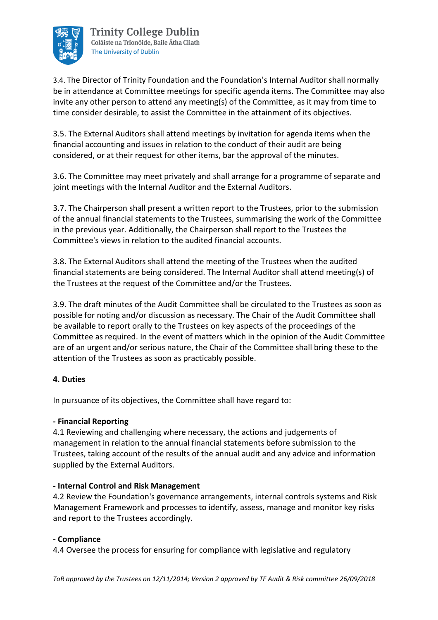

3.4. The Director of Trinity Foundation and the Foundation's Internal Auditor shall normally be in attendance at Committee meetings for specific agenda items. The Committee may also invite any other person to attend any meeting(s) of the Committee, as it may from time to time consider desirable, to assist the Committee in the attainment of its objectives.

3.5. The External Auditors shall attend meetings by invitation for agenda items when the financial accounting and issues in relation to the conduct of their audit are being considered, or at their request for other items, bar the approval of the minutes.

3.6. The Committee may meet privately and shall arrange for a programme of separate and joint meetings with the Internal Auditor and the External Auditors.

3.7. The Chairperson shall present a written report to the Trustees, prior to the submission of the annual financial statements to the Trustees, summarising the work of the Committee in the previous year. Additionally, the Chairperson shall report to the Trustees the Committee's views in relation to the audited financial accounts.

3.8. The External Auditors shall attend the meeting of the Trustees when the audited financial statements are being considered. The Internal Auditor shall attend meeting(s) of the Trustees at the request of the Committee and/or the Trustees.

3.9. The draft minutes of the Audit Committee shall be circulated to the Trustees as soon as possible for noting and/or discussion as necessary. The Chair of the Audit Committee shall be available to report orally to the Trustees on key aspects of the proceedings of the Committee as required. In the event of matters which in the opinion of the Audit Committee are of an urgent and/or serious nature, the Chair of the Committee shall bring these to the attention of the Trustees as soon as practicably possible.

# **4. Duties**

In pursuance of its objectives, the Committee shall have regard to:

### **- Financial Reporting**

4.1 Reviewing and challenging where necessary, the actions and judgements of management in relation to the annual financial statements before submission to the Trustees, taking account of the results of the annual audit and any advice and information supplied by the External Auditors.

### **- Internal Control and Risk Management**

4.2 Review the Foundation's governance arrangements, internal controls systems and Risk Management Framework and processes to identify, assess, manage and monitor key risks and report to the Trustees accordingly.

#### **- Compliance**

4.4 Oversee the process for ensuring for compliance with legislative and regulatory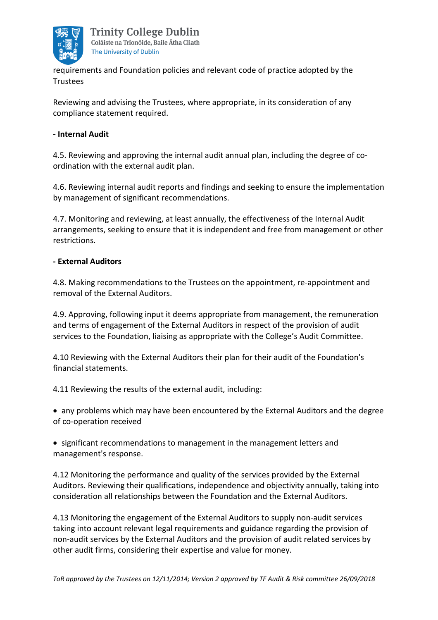

requirements and Foundation policies and relevant code of practice adopted by the Trustees

Reviewing and advising the Trustees, where appropriate, in its consideration of any compliance statement required.

#### **- Internal Audit**

4.5. Reviewing and approving the internal audit annual plan, including the degree of coordination with the external audit plan.

4.6. Reviewing internal audit reports and findings and seeking to ensure the implementation by management of significant recommendations.

4.7. Monitoring and reviewing, at least annually, the effectiveness of the Internal Audit arrangements, seeking to ensure that it is independent and free from management or other restrictions.

#### **- External Auditors**

4.8. Making recommendations to the Trustees on the appointment, re-appointment and removal of the External Auditors.

4.9. Approving, following input it deems appropriate from management, the remuneration and terms of engagement of the External Auditors in respect of the provision of audit services to the Foundation, liaising as appropriate with the College's Audit Committee.

4.10 Reviewing with the External Auditors their plan for their audit of the Foundation's financial statements.

4.11 Reviewing the results of the external audit, including:

• any problems which may have been encountered by the External Auditors and the degree of co-operation received

• significant recommendations to management in the management letters and management's response.

4.12 Monitoring the performance and quality of the services provided by the External Auditors. Reviewing their qualifications, independence and objectivity annually, taking into consideration all relationships between the Foundation and the External Auditors.

4.13 Monitoring the engagement of the External Auditors to supply non-audit services taking into account relevant legal requirements and guidance regarding the provision of non-audit services by the External Auditors and the provision of audit related services by other audit firms, considering their expertise and value for money.